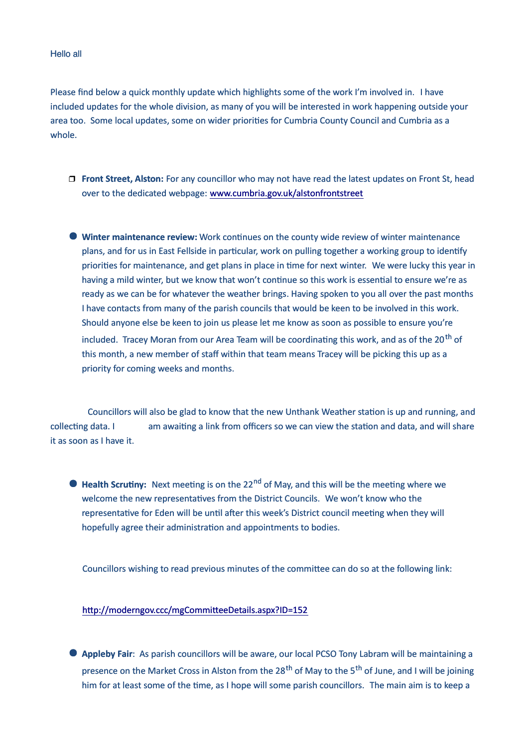## Hello all

Please find below a quick monthly update which highlights some of the work I'm involved in. I have included updates for the whole division, as many of you will be interested in work happening outside your area too. Some local updates, some on wider priorities for Cumbria County Council and Cumbria as a whole.

- **Front Street, Alston:** For any councillor who may not have read the latest updates on Front St, head over to the dedicated webpage: [www.cumbria.gov.uk/alstonfrontstreet](http://www.cumbria.gov.uk/alstonfrontstreet)
- **Winter maintenance review:** Work continues on the county wide review of winter maintenance plans, and for us in East Fellside in particular, work on pulling together a working group to identify priorities for maintenance, and get plans in place in time for next winter. We were lucky this year in having a mild winter, but we know that won't continue so this work is essential to ensure we're as ready as we can be for whatever the weather brings. Having spoken to you all over the past months I have contacts from many of the parish councils that would be keen to be involved in this work. Should anyone else be keen to join us please let me know as soon as possible to ensure you're included. Tracey Moran from our Area Team will be coordinating this work, and as of the 20<sup>th</sup> of

this month, a new member of staff within that team means Tracey will be picking this up as a priority for coming weeks and months.

Councillors will also be glad to know that the new Unthank Weather station is up and running, and collecting data. I am awaiting a link from officers so we can view the station and data, and will share it as soon as I have it.

● Health Scrutiny: Next meeting is on the 22<sup>nd</sup> of May, and this will be the meeting where we welcome the new representatives from the District Councils. We won't know who the representative for Eden will be until after this week's District council meeting when they will hopefully agree their administration and appointments to bodies.

Councillors wishing to read previous minutes of the committee can do so at the following link:

## http://moderngov.ccc/mgCommitteeDetails.aspx?ID=152

 **Appleby Fair**: As parish councillors will be aware, our local PCSO Tony Labram will be maintaining a presence on the Market Cross in Alston from the 28<sup>th</sup> of May to the 5<sup>th</sup> of June, and I will be joining him for at least some of the time, as I hope will some parish councillors. The main aim is to keep a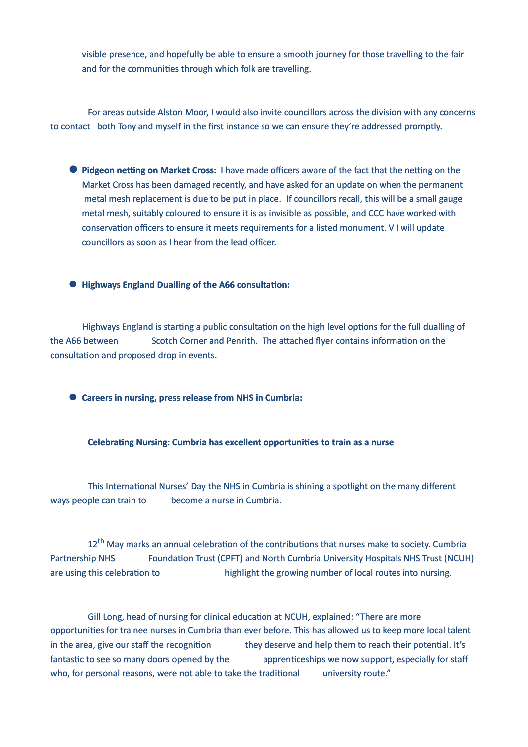visible presence, and hopefully be able to ensure a smooth journey for those travelling to the fair and for the communities through which folk are travelling.

For areas outside Alston Moor, I would also invite councillors across the division with any concerns to contact both Tony and myself in the first instance so we can ensure they're addressed promptly.

- **Pidgeon netting on Market Cross:** I have made officers aware of the fact that the netting on the Market Cross has been damaged recently, and have asked for an update on when the permanent metal mesh replacement is due to be put in place. If councillors recall, this will be a small gauge metal mesh, suitably coloured to ensure it is as invisible as possible, and CCC have worked with conservation officers to ensure it meets requirements for a listed monument. V I will update councillors as soon as I hear from the lead officer.
- $\bullet$  **Highways England Dualling of the A66 consultation:**

Highways England is starting a public consultation on the high level options for the full dualling of the A66 between Scotch Corner and Penrith. The attached flyer contains information on the consultation and proposed drop in events.

**Careers in nursing, press release from NHS in Cumbria:**

**Celebrating Nursing: Cumbria has excellent opportunities to train as a nurse** 

This International Nurses' Day the NHS in Cumbria is shining a spotlight on the many different ways people can train to become a nurse in Cumbria.

12<sup>th</sup> May marks an annual celebration of the contributions that nurses make to society. Cumbria Partnership NHS Foundation Trust (CPFT) and North Cumbria University Hospitals NHS Trust (NCUH) are using this celebration to highlight the growing number of local routes into nursing.

Gill Long, head of nursing for clinical education at NCUH, explained: "There are more opportunities for trainee nurses in Cumbria than ever before. This has allowed us to keep more local talent in the area, give our staff the recognition they deserve and help them to reach their potential. It's fantastic to see so many doors opened by the apprenticeships we now support, especially for staff who, for personal reasons, were not able to take the traditional university route."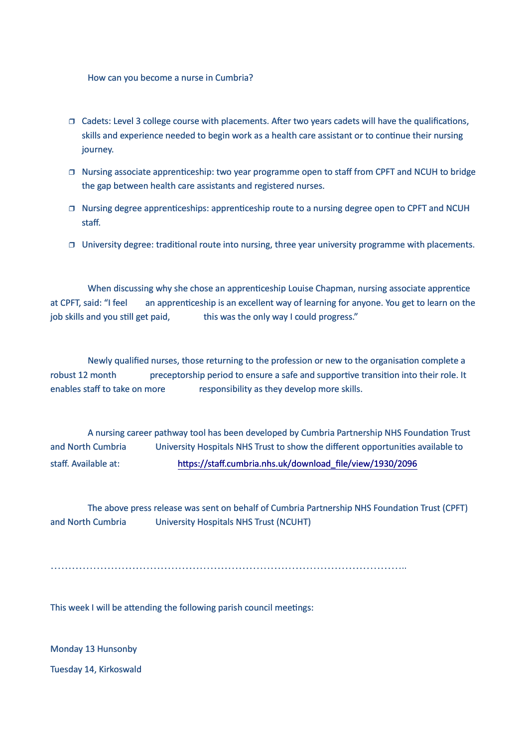How can you become a nurse in Cumbria?

- $\Box$  Cadets: Level 3 college course with placements. After two years cadets will have the qualifications, skills and experience needed to begin work as a health care assistant or to continue their nursing journey.
- $\Box$  Nursing associate apprenticeship: two year programme open to staff from CPFT and NCUH to bridge the gap between health care assistants and registered nurses.
- $\Box$  Nursing degree apprenticeships: apprenticeship route to a nursing degree open to CPFT and NCUH staff.
- $\Box$  University degree: traditional route into nursing, three year university programme with placements.

When discussing why she chose an apprenticeship Louise Chapman, nursing associate apprentice at CPFT, said: "I feel an apprenticeship is an excellent way of learning for anyone. You get to learn on the job skills and you still get paid, this was the only way I could progress."

Newly qualified nurses, those returning to the profession or new to the organisation complete a robust 12 month preceptorship period to ensure a safe and supportive transition into their role. It enables staff to take on more responsibility as they develop more skills.

A nursing career pathway tool has been developed by Cumbria Partnership NHS Foundation Trust and North Cumbria University Hospitals NHS Trust to show the different opportunities available to staff. Available at: https://staff.cumbria.nhs.uk/download\_file/view/1930/2096

The above press release was sent on behalf of Cumbria Partnership NHS Foundation Trust (CPFT) and North Cumbria University Hospitals NHS Trust (NCUHT)

………………………………………………………………………………………..

This week I will be attending the following parish council meetings:

Monday 13 Hunsonby

Tuesday 14, Kirkoswald